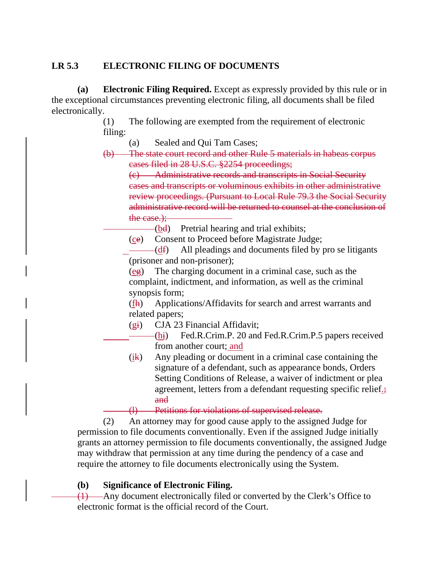# **LR 5.3 ELECTRONIC FILING OF DOCUMENTS**

 **(a) Electronic Filing Required.** Except as expressly provided by this rule or in the exceptional circumstances preventing electronic filing, all documents shall be filed electronically.

> (1) The following are exempted from the requirement of electronic filing:

(a) Sealed and Qui Tam Cases;

(b) The state court record and other Rule 5 materials in habeas corpus cases filed in 28 U.S.C. §2254 proceedings;

(c) Administrative records and transcripts in Social Security cases and transcripts or voluminous exhibits in other administrative review proceedings. (Pursuant to Local Rule 79.3 the Social Security administrative record will be returned to counsel at the conclusion of the case.):

 $-(bd)$  Pretrial hearing and trial exhibits;

(ce) Consent to Proceed before Magistrate Judge;

 $-(df)$  All pleadings and documents filed by pro se litigants (prisoner and non-prisoner);

 (eg) The charging document in a criminal case, such as the complaint, indictment, and information, as well as the criminal synopsis form;

 (fh) Applications/Affidavits for search and arrest warrants and related papers;

(gi) CJA 23 Financial Affidavit;

 $-Fed.R.Crim.P. 20$  and Fed.R.Crim.P.5 papers received from another court; and

(ik) Any pleading or document in a criminal case containing the signature of a defendant, such as appearance bonds, Orders Setting Conditions of Release, a waiver of indictment or plea agreement, letters from a defendant requesting specific relief.; and

(l) Petitions for violations of supervised release.

 (2) An attorney may for good cause apply to the assigned Judge for permission to file documents conventionally. Even if the assigned Judge initially grants an attorney permission to file documents conventionally, the assigned Judge may withdraw that permission at any time during the pendency of a case and require the attorney to file documents electronically using the System.

#### **(b) Significance of Electronic Filing.**

 (1) Any document electronically filed or converted by the Clerk's Office to electronic format is the official record of the Court.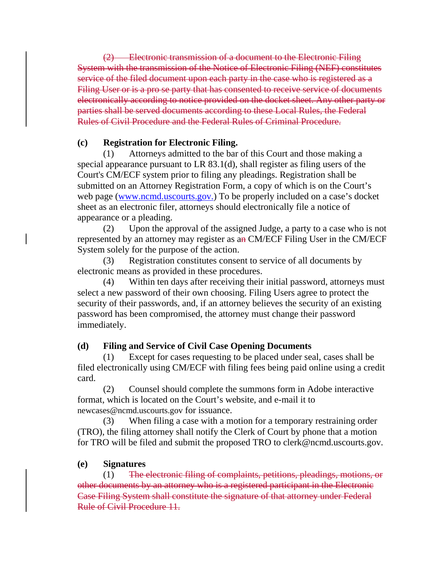(2) Electronic transmission of a document to the Electronic Filing System with the transmission of the Notice of Electronic Filing (NEF) constitutes service of the filed document upon each party in the case who is registered as a Filing User or is a pro se party that has consented to receive service of documents electronically according to notice provided on the docket sheet. Any other party or parties shall be served documents according to these Local Rules, the Federal Rules of Civil Procedure and the Federal Rules of Criminal Procedure.

### **(c) Registration for Electronic Filing.**

 (1) Attorneys admitted to the bar of this Court and those making a special appearance pursuant to LR 83.1(d), shall register as filing users of the Court's CM/ECF system prior to filing any pleadings. Registration shall be submitted on an Attorney Registration Form, a copy of which is on the Court's web page (www.ncmd.uscourts.gov.) To be properly included on a case's docket sheet as an electronic filer, attorneys should electronically file a notice of appearance or a pleading.

 (2) Upon the approval of the assigned Judge, a party to a case who is not represented by an attorney may register as an CM/ECF Filing User in the CM/ECF System solely for the purpose of the action.

 (3) Registration constitutes consent to service of all documents by electronic means as provided in these procedures.

 (4) Within ten days after receiving their initial password, attorneys must select a new password of their own choosing. Filing Users agree to protect the security of their passwords, and, if an attorney believes the security of an existing password has been compromised, the attorney must change their password immediately.

# **(d) Filing and Service of Civil Case Opening Documents**

Except for cases requesting to be placed under seal, cases shall be filed electronically using CM/ECF with filing fees being paid online using a credit card.

 (2) Counsel should complete the summons form in Adobe interactive format, which is located on the Court's website, and e-mail it to newcases@ncmd.uscourts.gov for issuance.

 (3) When filing a case with a motion for a temporary restraining order (TRO), the filing attorney shall notify the Clerk of Court by phone that a motion for TRO will be filed and submit the proposed TRO to clerk@ncmd.uscourts.gov.

#### **(e) Signatures**

 (1) The electronic filing of complaints, petitions, pleadings, motions, or other documents by an attorney who is a registered participant in the Electronic Case Filing System shall constitute the signature of that attorney under Federal Rule of Civil Procedure 11.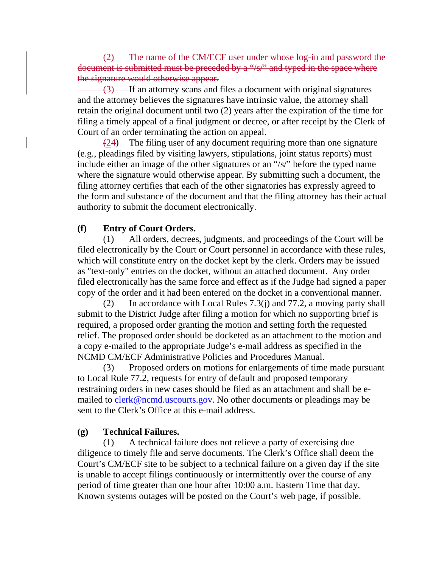(2) The name of the CM/ECF user under whose log-in and password the document is submitted must be preceded by a "/s/" and typed in the space where the signature would otherwise appear.

(3) If an attorney scans and files a document with original signatures and the attorney believes the signatures have intrinsic value, the attorney shall retain the original document until two (2) years after the expiration of the time for filing a timely appeal of a final judgment or decree, or after receipt by the Clerk of Court of an order terminating the action on appeal.

 $(24)$  The filing user of any document requiring more than one signature (e.g., pleadings filed by visiting lawyers, stipulations, joint status reports) must include either an image of the other signatures or an "/s/" before the typed name where the signature would otherwise appear. By submitting such a document, the filing attorney certifies that each of the other signatories has expressly agreed to the form and substance of the document and that the filing attorney has their actual authority to submit the document electronically.

### **(f) Entry of Court Orders.**

 (1) All orders, decrees, judgments, and proceedings of the Court will be filed electronically by the Court or Court personnel in accordance with these rules, which will constitute entry on the docket kept by the clerk. Orders may be issued as "text-only" entries on the docket, without an attached document. Any order filed electronically has the same force and effect as if the Judge had signed a paper copy of the order and it had been entered on the docket in a conventional manner.

 (2) In accordance with Local Rules 7.3(j) and 77.2, a moving party shall submit to the District Judge after filing a motion for which no supporting brief is required, a proposed order granting the motion and setting forth the requested relief. The proposed order should be docketed as an attachment to the motion and a copy e-mailed to the appropriate Judge's e-mail address as specified in the NCMD CM/ECF Administrative Policies and Procedures Manual.

 (3) Proposed orders on motions for enlargements of time made pursuant to Local Rule 77.2, requests for entry of default and proposed temporary restraining orders in new cases should be filed as an attachment and shall be emailed to clerk@ncmd.uscourts.gov. No other documents or pleadings may be sent to the Clerk's Office at this e-mail address.

# **(g) Technical Failures.**

 (1) A technical failure does not relieve a party of exercising due diligence to timely file and serve documents. The Clerk's Office shall deem the Court's CM/ECF site to be subject to a technical failure on a given day if the site is unable to accept filings continuously or intermittently over the course of any period of time greater than one hour after 10:00 a.m. Eastern Time that day. Known systems outages will be posted on the Court's web page, if possible.